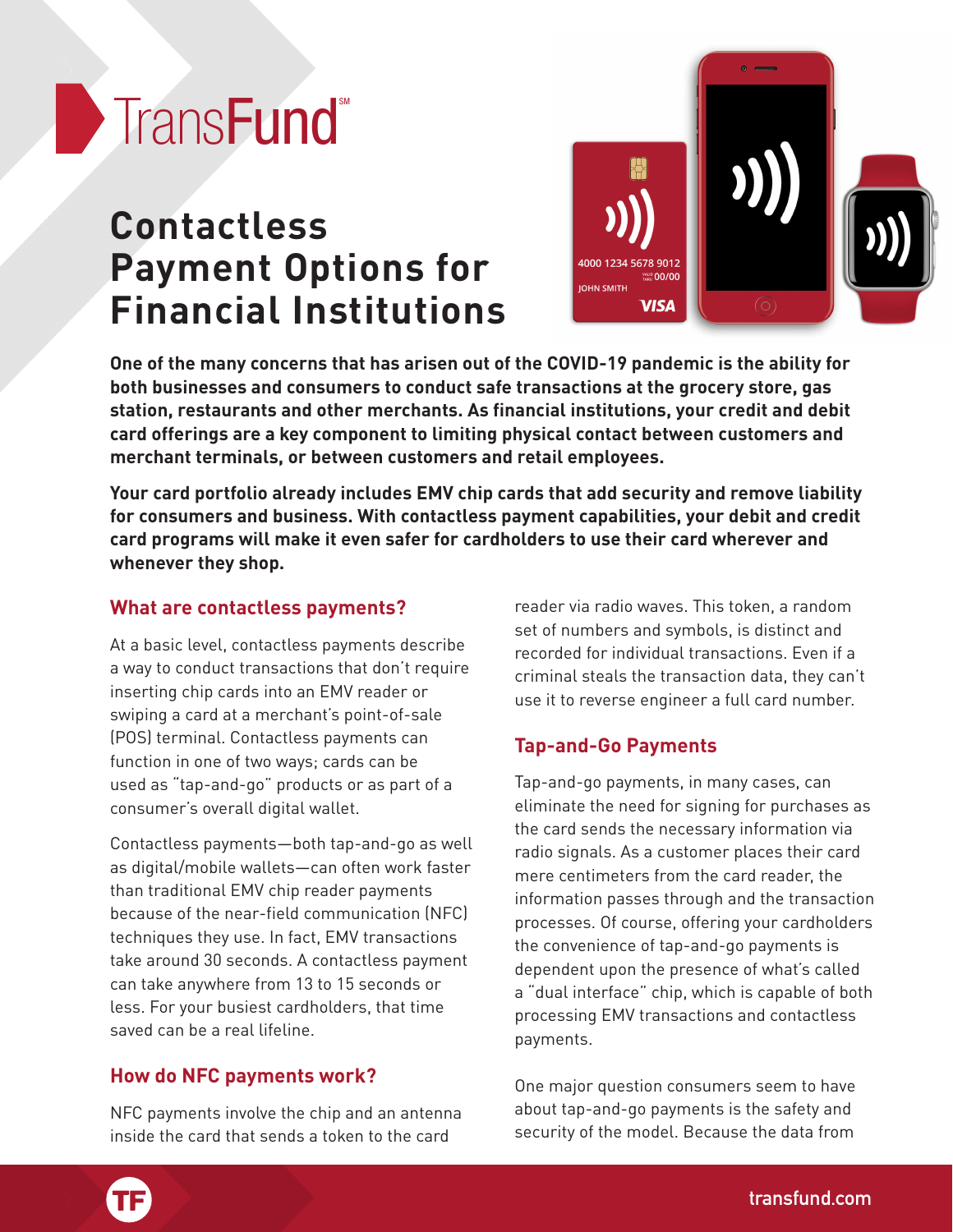# Trans**Fund**

# **Contactless Payment Options for Financial Institutions**



**One of the many concerns that has arisen out of the COVID-19 pandemic is the ability for both businesses and consumers to conduct safe transactions at the grocery store, gas station, restaurants and other merchants. As financial institutions, your credit and debit card offerings are a key component to limiting physical contact between customers and merchant terminals, or between customers and retail employees.**

**Your card portfolio already includes EMV chip cards that add security and remove liability for consumers and business. With contactless payment capabilities, your debit and credit card programs will make it even safer for cardholders to use their card wherever and whenever they shop.**

# **What are contactless payments?**

At a basic level, contactless payments describe a way to conduct transactions that don't require inserting chip cards into an EMV reader or swiping a card at a merchant's point-of-sale (POS) terminal. Contactless payments can function in one of two ways; cards can be used as "tap-and-go" products or as part of a consumer's overall digital wallet.

Contactless payments—both tap-and-go as well as digital/mobile wallets—can often work faster than traditional EMV chip reader payments because of the near-field communication (NFC) techniques they use. In fact, EMV transactions take around 30 seconds. A contactless payment can take anywhere from 13 to 15 seconds or less. For your busiest cardholders, that time saved can be a real lifeline.

# **How do NFC payments work?**

NFC payments involve the chip and an antenna<br>inside the card that sends a token to the card inside the card that sends a token to the card

reader via radio waves. This token, a random set of numbers and symbols, is distinct and recorded for individual transactions. Even if a criminal steals the transaction data, they can't use it to reverse engineer a full card number.

# **Tap-and-Go Payments**

Tap-and-go payments, in many cases, can eliminate the need for signing for purchases as the card sends the necessary information via radio signals. As a customer places their card mere centimeters from the card reader, the information passes through and the transaction processes. Of course, offering your cardholders the convenience of tap-and-go payments is dependent upon the presence of what's called a "dual interface" chip, which is capable of both processing EMV transactions and contactless payments.

One major question consumers seem to have about tap-and-go payments is the safety and security of the model. Because the data from

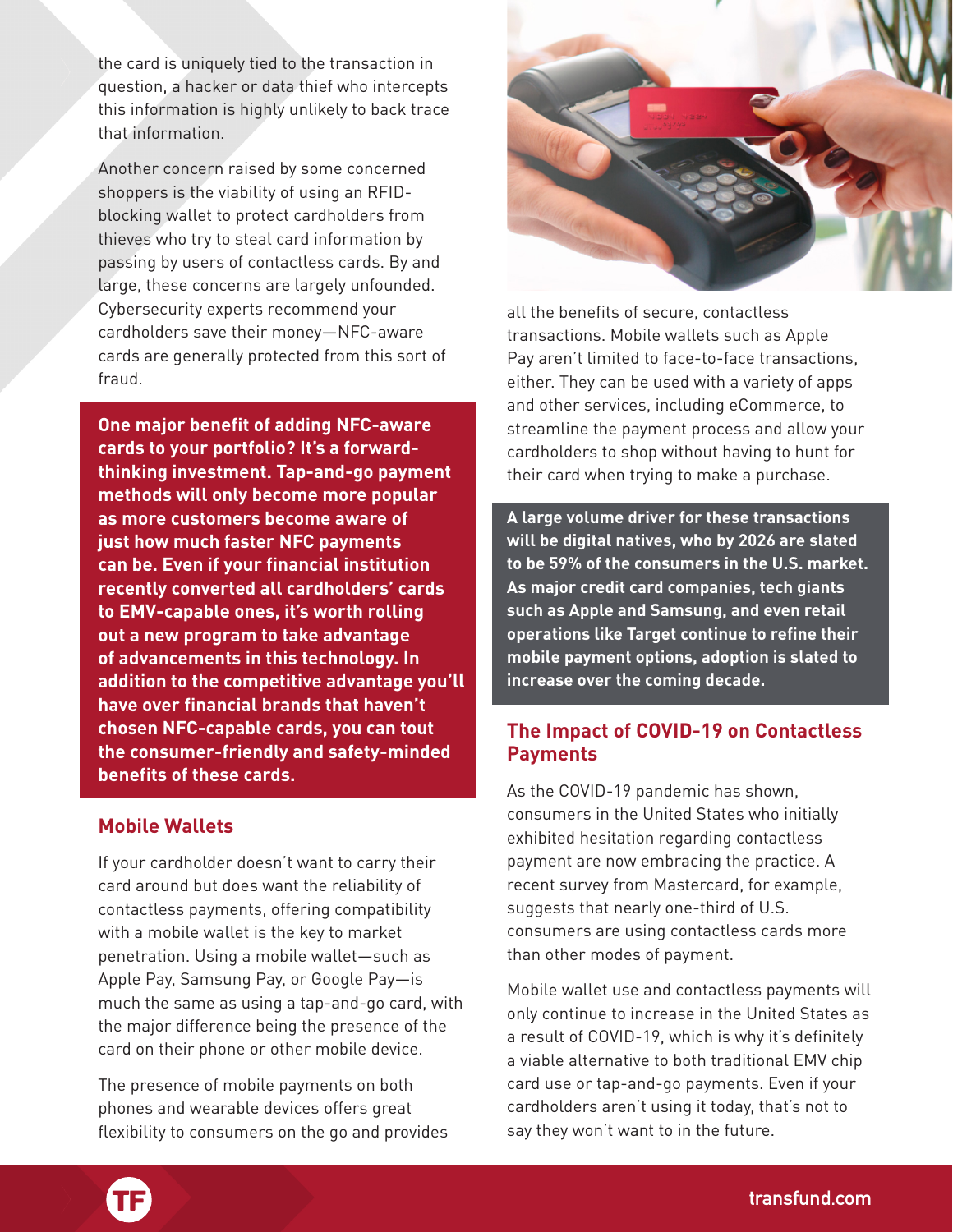the card is uniquely tied to the transaction in question, a hacker or data thief who intercepts this information is highly unlikely to back trace that information.

Another concern raised by some concerned shoppers is the viability of using an RFIDblocking wallet to protect cardholders from thieves who try to steal card information by passing by users of contactless cards. By and large, these concerns are largely unfounded. Cybersecurity experts recommend your cardholders save their money—NFC-aware cards are generally protected from this sort of fraud.

**One major benefit of adding NFC-aware cards to your portfolio? It's a forwardthinking investment. Tap-and-go payment methods will only become more popular as more customers become aware of just how much faster NFC payments can be. Even if your financial institution recently converted all cardholders' cards to EMV-capable ones, it's worth rolling out a new program to take advantage of advancements in this technology. In addition to the competitive advantage you'll have over financial brands that haven't chosen NFC-capable cards, you can tout the consumer-friendly and safety-minded benefits of these cards.** 

#### **Mobile Wallets**

If your cardholder doesn't want to carry their card around but does want the reliability of contactless payments, offering compatibility with a mobile wallet is the key to market penetration. Using a mobile wallet—such as Apple Pay, Samsung Pay, or Google Pay—is much the same as using a tap-and-go card, with the major difference being the presence of the card on their phone or other mobile device.

The presence of mobile payments on both phones and wearable devices offers great phones and wearable devices offers great<br>flexibility to consumers on the go and provides



all the benefits of secure, contactless transactions. Mobile wallets such as Apple Pay aren't limited to face-to-face transactions, either. They can be used with a variety of apps and other services, including eCommerce, to streamline the payment process and allow your cardholders to shop without having to hunt for their card when trying to make a purchase.

**A large volume driver for these transactions will be digital natives, who by 2026 are slated to be 59% of the consumers in the U.S. market. As major credit card companies, tech giants such as Apple and Samsung, and even retail operations like Target continue to refine their mobile payment options, adoption is slated to increase over the coming decade.**

#### **The Impact of COVID-19 on Contactless Payments**

As the COVID-19 pandemic has shown, consumers in the United States who initially exhibited hesitation regarding contactless payment are now embracing the practice. A recent survey from Mastercard, for example, suggests that nearly one-third of U.S. consumers are using contactless cards more than other modes of payment.

Mobile wallet use and contactless payments will only continue to increase in the United States as a result of COVID-19, which is why it's definitely a viable alternative to both traditional EMV chip card use or tap-and-go payments. Even if your cardholders aren't using it today, that's not to say they won't want to in the future.